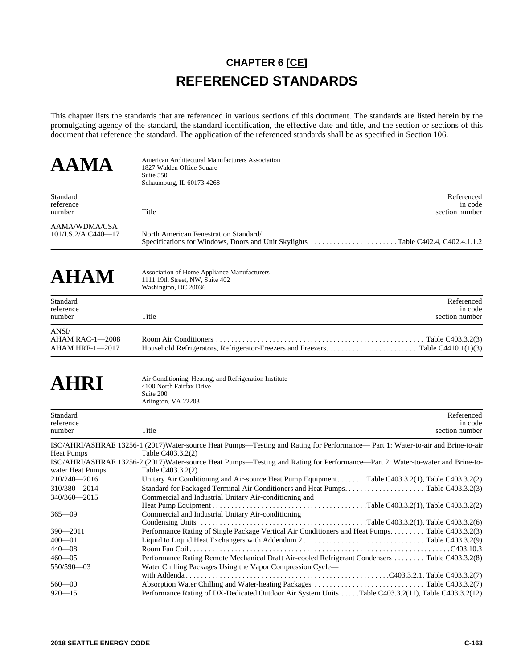## **CHAPTER 6 [CE] REFERENCED STANDARDS**

This chapter lists the standards that are referenced in various sections of this document. The standards are listed herein by the promulgating agency of the standard, the standard identification, the effective date and title, and the section or sections of this document that reference the standard. The application of the referenced standards shall be as specified in Section 106.

| AAMA                                                                                                                                                                              | American Architectural Manufacturers Association<br>1827 Walden Office Square<br>Suite 550<br>Schaumburg, IL 60173-4268                                                                                                                                                                                                                                                                                                                                                                                                                                                                                                                                                                                                                                                                             |                       |
|-----------------------------------------------------------------------------------------------------------------------------------------------------------------------------------|-----------------------------------------------------------------------------------------------------------------------------------------------------------------------------------------------------------------------------------------------------------------------------------------------------------------------------------------------------------------------------------------------------------------------------------------------------------------------------------------------------------------------------------------------------------------------------------------------------------------------------------------------------------------------------------------------------------------------------------------------------------------------------------------------------|-----------------------|
| Standard<br>reference<br>number                                                                                                                                                   | Title<br>section number                                                                                                                                                                                                                                                                                                                                                                                                                                                                                                                                                                                                                                                                                                                                                                             | Referenced<br>in code |
| AAMA/WDMA/CSA<br>101/I.S.2/A C440-17                                                                                                                                              | North American Fenestration Standard/<br>Specifications for Windows, Doors and Unit Skylights Table C402.4, C402.4.1.1.2                                                                                                                                                                                                                                                                                                                                                                                                                                                                                                                                                                                                                                                                            |                       |
| <b>AHAM</b>                                                                                                                                                                       | Association of Home Appliance Manufacturers<br>1111 19th Street, NW, Suite 402<br>Washington, DC 20036                                                                                                                                                                                                                                                                                                                                                                                                                                                                                                                                                                                                                                                                                              |                       |
| Standard<br>reference<br>number                                                                                                                                                   | Title<br>section number                                                                                                                                                                                                                                                                                                                                                                                                                                                                                                                                                                                                                                                                                                                                                                             | Referenced<br>in code |
| ANSI/<br>AHAM RAC-1-2008<br>AHAM HRF-1-2017                                                                                                                                       |                                                                                                                                                                                                                                                                                                                                                                                                                                                                                                                                                                                                                                                                                                                                                                                                     |                       |
| AHRI                                                                                                                                                                              | Air Conditioning, Heating, and Refrigeration Institute<br>4100 North Fairfax Drive<br>Suite 200<br>Arlington, VA 22203                                                                                                                                                                                                                                                                                                                                                                                                                                                                                                                                                                                                                                                                              |                       |
| Standard<br>reference<br>number                                                                                                                                                   | Title<br>section number                                                                                                                                                                                                                                                                                                                                                                                                                                                                                                                                                                                                                                                                                                                                                                             | Referenced<br>in code |
| <b>Heat Pumps</b><br>water Heat Pumps<br>210/240-2016<br>310/380-2014<br>340/360-2015<br>$365 - 09$<br>390-2011<br>$400 - 01$<br>440—08<br>$460 - 05$<br>550/590-03<br>$560 - 00$ | ISO/AHRI/ASHRAE 13256-1 (2017)Water-source Heat Pumps—Testing and Rating for Performance— Part 1: Water-to-air and Brine-to-air<br>Table C403.3.2(2)<br>ISO/AHRI/ASHRAE 13256-2 (2017)Water-source Heat Pumps—Testing and Rating for Performance—Part 2: Water-to-water and Brine-to-<br>Table C403.3.2(2)<br>Unitary Air Conditioning and Air-source Heat Pump Equipment. Table C403.3.2(1), Table C403.3.2(2)<br>Commercial and Industrial Unitary Air-conditioning and<br>Commercial and Industrial Unitary Air-conditioning<br>Performance Rating of Single Package Vertical Air Conditioners and Heat Pumps Table C403.3.2(3)<br>Performance Rating Remote Mechanical Draft Air-cooled Refrigerant Condensers  Table C403.3.2(8)<br>Water Chilling Packages Using the Vapor Compression Cycle- |                       |
| $920 - 15$                                                                                                                                                                        | Performance Rating of DX-Dedicated Outdoor Air System Units Table C403.3.2(11), Table C403.3.2(12)                                                                                                                                                                                                                                                                                                                                                                                                                                                                                                                                                                                                                                                                                                  |                       |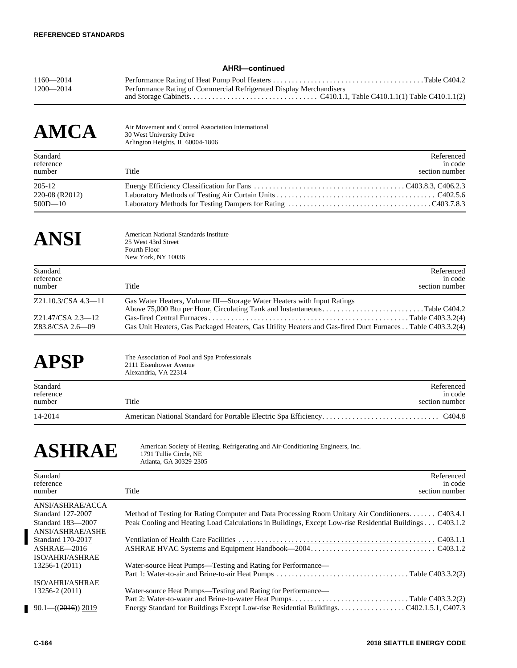## **AHRI—continued**

| $1160 - 2014$ |                                                                     |  |
|---------------|---------------------------------------------------------------------|--|
| $1200 - 2014$ | Performance Rating of Commercial Refrigerated Display Merchandisers |  |
|               |                                                                     |  |

| <b>AMCA</b>                             | Air Movement and Control Association International<br>30 West University Drive<br>Arlington Heights, IL 60004-1806 |                                         |
|-----------------------------------------|--------------------------------------------------------------------------------------------------------------------|-----------------------------------------|
| Standard<br>reference<br>number         | Title                                                                                                              | Referenced<br>in code<br>section number |
| 205-12<br>220-08 (R2012)<br>$500D - 10$ |                                                                                                                    |                                         |

### ANSI American National Standards Institute<br>25 West 43rd Street 25 West 43rd Street Fourth Floor New York, NY 10036

| Standard<br>reference<br>number       | Referenced<br>in code<br>section number<br>Title                                                                                                    |
|---------------------------------------|-----------------------------------------------------------------------------------------------------------------------------------------------------|
| Z21.10.3/CSA 4.3—11                   | Gas Water Heaters, Volume III—Storage Water Heaters with Input Ratings<br>Above 75,000 Btu per Hour, Circulating Tank and InstantaneousTable C404.2 |
| Z21.47/CSA 2.3—12<br>Z83.8/CSA 2.6—09 | Gas Unit Heaters, Gas Packaged Heaters, Gas Utility Heaters and Gas-fired Duct Furnaces Table C403.3.2(4)                                           |

APSP The Association of Pool and Spa Professionals 2111 Eisenhower Avenue Alexandria, VA 22314

| Standard<br>reference<br>number | Title | Referenced<br>in code<br>section number |
|---------------------------------|-------|-----------------------------------------|
| 14-2014                         |       |                                         |

ASHRAE American Society of Heating, Refrigerating and Air-Conditioning Engineers, Inc. Atlanta, GA 30329-2305

| Standard<br>reference<br>number | Referenced<br>in code<br>section number<br>Title                                                        |
|---------------------------------|---------------------------------------------------------------------------------------------------------|
| ANSI/ASHRAE/ACCA                |                                                                                                         |
| <b>Standard 127-2007</b>        | Method of Testing for Rating Computer and Data Processing Room Unitary Air Conditioners C403.4.1        |
| Standard 183-2007               | Peak Cooling and Heating Load Calculations in Buildings, Except Low-rise Residential Buildings C403.1.2 |
| ANSI/ASHRAE/ASHE                |                                                                                                         |
| Standard 170-2017               |                                                                                                         |
| ASHRAE-2016                     |                                                                                                         |
| ISO/AHRI/ASHRAE                 |                                                                                                         |
| 13256-1 (2011)                  | Water-source Heat Pumps—Testing and Rating for Performance—                                             |
|                                 |                                                                                                         |
| ISO/AHRI/ASHRAE                 |                                                                                                         |
| 13256-2 (2011)                  | Water-source Heat Pumps—Testing and Rating for Performance—                                             |
|                                 |                                                                                                         |
| $90.1 - ((2016)) 2019$          |                                                                                                         |

I

Г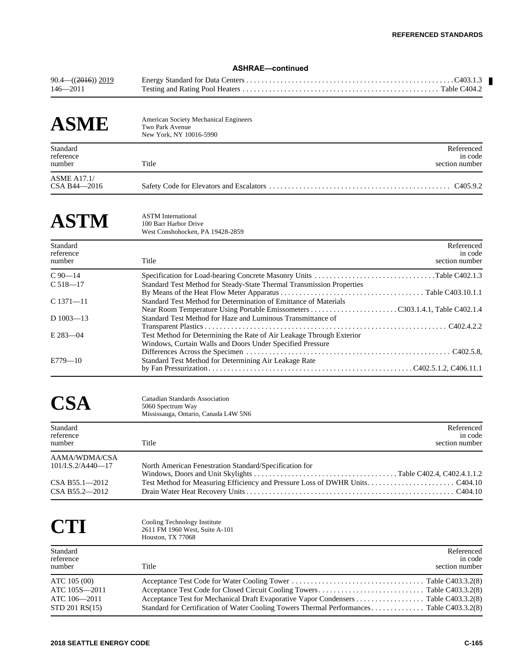## **ASHRAE—continued**

| $90.4\rightarrow (2016)$ 2019 |  |
|-------------------------------|--|
| $146 - 2011$                  |  |

| <b>ASME</b>                        | <b>American Society Mechanical Engineers</b><br>Two Park Avenue<br>New York, NY 10016-5990 |                                         |
|------------------------------------|--------------------------------------------------------------------------------------------|-----------------------------------------|
| Standard<br>reference<br>number    | Title                                                                                      | Referenced<br>in code<br>section number |
| <b>ASME A17.1/</b><br>CSA B44-2016 |                                                                                            | C <sub>4</sub> 05.9.2                   |

# **ASTM** ASTM International 100 Barr Harbor Dri

100 Barr Harbor Drive West Conshohocken, PA 19428-2859

| Standard<br>reference<br>number | Title                                                                                                                             | Referenced<br>in code<br>section number |
|---------------------------------|-----------------------------------------------------------------------------------------------------------------------------------|-----------------------------------------|
| $C_{90-14}$                     |                                                                                                                                   |                                         |
| $C 518 - 17$                    | Standard Test Method for Steady-State Thermal Transmission Properties                                                             |                                         |
| $C$ 1371—11                     | Standard Test Method for Determination of Emittance of Materials                                                                  |                                         |
| $D$ 1003-13                     | Standard Test Method for Haze and Luminous Transmittance of                                                                       |                                         |
| $E$ 283-04                      | Test Method for Determining the Rate of Air Leakage Through Exterior<br>Windows, Curtain Walls and Doors Under Specified Pressure |                                         |
|                                 |                                                                                                                                   |                                         |
| $E779 - 10$                     | Standard Test Method for Determining Air Leakage Rate                                                                             |                                         |

CSA Canadian Standards Association<br>5060 Spectrum Way 5060 Spectrum Way Mississauga, Ontario, Canada L4W 5N6

| Standard<br>reference<br>number       | Title                                                  | Referenced<br>in code<br>section number |
|---------------------------------------|--------------------------------------------------------|-----------------------------------------|
| AAMA/WDMA/CSA<br>$101$ /I.S.2/A440-17 | North American Fenestration Standard/Specification for |                                         |
|                                       |                                                        |                                         |
| $CSA B55.1 - 2012$                    |                                                        |                                         |
| CSA B55.2-2012                        |                                                        |                                         |

CTI Cooling Technology Institute<br>2611 FM 1960 West, Suite A-2611 FM 1960 West, Suite A-101 Houston, TX 77068 Standard Referenced References and the state of the state of the state of the state of the state of the state of the state of the state of the state of the state of the state of the state of the state of the state of the s reference in code number Title Section number Title Section number section number ATC 105 (00) Acceptance Test Code for Water Cooling Tower . . . . . . . . . . . . . . . . . . . . . . . . . . . . . . . . . . . Table C403.3.2(8) ATC 105S—2011 Acceptance Test Code for Closed Circuit Cooling Towers . . . . . . . . . . . . . . . . . . . . . . . . . . . . Table C403.3.2(8) ATC 106-2011 Acceptance Test for Mechanical Draft Evaporative Vapor Condensers . . . . . . . . . . . . . . . . Table C403.3.2(8) STD 201 RS(15) Standard for Certification of Water Cooling Towers Thermal Performances . . . . . . . . . . . . . . Table C403.3.2(8)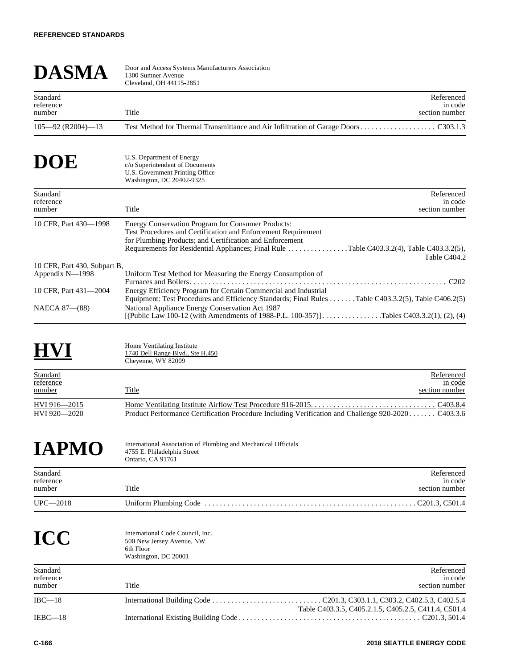| <b>DASMA</b>                                    | Door and Access Systems Manufacturers Association<br>1300 Sumner Avenue<br>Cleveland, OH 44115-2851                                                                                                                                                                                          |
|-------------------------------------------------|----------------------------------------------------------------------------------------------------------------------------------------------------------------------------------------------------------------------------------------------------------------------------------------------|
| Standard<br>reference<br>number                 | Referenced<br>in code<br>Title<br>section number                                                                                                                                                                                                                                             |
| $105 - 92$ (R2004)-13                           |                                                                                                                                                                                                                                                                                              |
| DOE                                             | U.S. Department of Energy<br>c/o Superintendent of Documents<br>U.S. Government Printing Office<br>Washington, DC 20402-9325                                                                                                                                                                 |
| Standard<br>reference<br>number                 | Referenced<br>in code<br>Title<br>section number                                                                                                                                                                                                                                             |
| 10 CFR, Part 430-1998                           | Energy Conservation Program for Consumer Products:<br>Test Procedures and Certification and Enforcement Requirement<br>for Plumbing Products; and Certification and Enforcement<br>Requirements for Residential Appliances; Final Rule Table C403.3.2(4), Table C403.3.2(5),<br>Table C404.2 |
| 10 CFR, Part 430, Subpart B,<br>Appendix N-1998 | Uniform Test Method for Measuring the Energy Consumption of                                                                                                                                                                                                                                  |
| 10 CFR, Part 431-2004                           | Energy Efficiency Program for Certain Commercial and Industrial<br>Equipment: Test Procedures and Efficiency Standards; Final Rules Table C403.3.2(5), Table C406.2(5)                                                                                                                       |
| NAECA 87-(88)                                   | National Appliance Energy Conservation Act 1987<br>[(Public Law 100-12 (with Amendments of 1988-P.L. 100-357)]Tables C403.3.2(1), (2), (4)                                                                                                                                                   |

## **HOME** Home Ventilating Institute<br>
1740 Dell Range Blvd., Ste H.450<br>
Chouanna WV 82000 Cheyenne, WY 82009 **Standard Referenced** Referenced Referenced Referenced Referenced Referenced Referenced Referenced Referenced Referenced Referenced Referenced Referenced Referenced Referenced Referenced Referenced Referenced Referenced Re <u>reference</u> in code Exampled Standard Externe the Contract of the Standard Standard Standard Standard Standard Standard Standard Standard Standard Standard Standard Standard Standard Standard Standard Standard Standard Standard Standard Stand HVI 916—2015 Home Ventilating Institute Airflow Test Procedure 916-2015. . . . . . . . . . . . . . . . . . . . . . . . . . . . . . . . . C403.8.4 Product Performance Certification Procedure Including Verification and Challenge 920-2020 . . . . .

| <b>IAPMO</b>                    | International Association of Plumbing and Mechanical Officials<br>4755 E. Philadelphia Street<br>Ontario, CA 91761 |                                         |
|---------------------------------|--------------------------------------------------------------------------------------------------------------------|-----------------------------------------|
| Standard<br>reference<br>number | Title                                                                                                              | Referenced<br>in code<br>section number |
| $UPC - 2018$                    |                                                                                                                    | . C201.3, C501.4                        |
| TAN                             | International Code Council. Inc.                                                                                   |                                         |

| IUC                             | 500 New Jersey Avenue, NW<br>6th Floor<br>Washington, DC 20001 |                                                      |
|---------------------------------|----------------------------------------------------------------|------------------------------------------------------|
| Standard<br>reference<br>number | Title                                                          | Referenced<br>in code<br>section number              |
| $IBC-18$                        |                                                                | Table C403.3.5, C405.2.1.5, C405.2.5, C411.4, C501.4 |
| $IEBC-18$                       |                                                                |                                                      |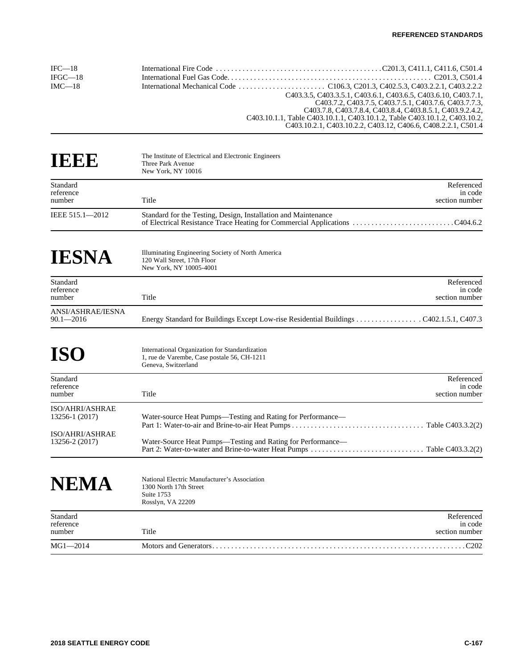| $IEC=18$  |                                                                            |
|-----------|----------------------------------------------------------------------------|
| $IFGC-18$ |                                                                            |
| $IMC=18$  |                                                                            |
|           | C403.3.5, C403.3.5.1, C403.6.1, C403.6.5, C403.6.10, C403.7.1.             |
|           | C403.7.2, C403.7.5, C403.7.5.1, C403.7.6, C403.7.7.3,                      |
|           | C403.7.8, C403.7.8.4, C403.8.4, C403.8.5.1, C403.9.2.4.2.                  |
|           | C403.10.1.1, Table C403.10.1.1, C403.10.1.2, Table C403.10.1.2, C403.10.2. |
|           | C403.10.2.1, C403.10.2.2, C403.12, C406.6, C408.2.2.1, C501.4              |

| IEEE                                                 | The Institute of Electrical and Electronic Engineers<br>Three Park Avenue<br>New York, NY 10016                      |                                         |
|------------------------------------------------------|----------------------------------------------------------------------------------------------------------------------|-----------------------------------------|
| Standard<br>reference<br>number                      | Title                                                                                                                | Referenced<br>in code<br>section number |
| IEEE 515.1-2012                                      | Standard for the Testing, Design, Installation and Maintenance                                                       |                                         |
| <b>IESNA</b>                                         | Illuminating Engineering Society of North America<br>120 Wall Street, 17th Floor<br>New York, NY 10005-4001          |                                         |
| Standard<br>reference<br>number                      | Title                                                                                                                | Referenced<br>in code<br>section number |
| ANSI/ASHRAE/IESNA<br>$90.1 - 2016$                   |                                                                                                                      |                                         |
| <b>ISO</b>                                           | International Organization for Standardization<br>1, rue de Varembe, Case postale 56, CH-1211<br>Geneva, Switzerland |                                         |
| Standard<br>reference<br>number                      | Title                                                                                                                | Referenced<br>in code<br>section number |
| ISO/AHRI/ASHRAE<br>13256-1 (2017)<br>ISO/AHRI/ASHRAE | Water-source Heat Pumps—Testing and Rating for Performance—                                                          |                                         |
| 13256-2 (2017)                                       | Water-Source Heat Pumps-Testing and Rating for Performance-                                                          |                                         |
| NEMA                                                 | National Electric Manufacturer's Association<br>1300 North 17th Street<br>Suite 1753<br>Rosslyn, VA 22209            |                                         |
| Standard<br>reference<br>number                      | Title                                                                                                                | Referenced<br>in code<br>section number |
| $MG1 - 2014$                                         |                                                                                                                      | $\ldots \ldots \ldots C202$             |